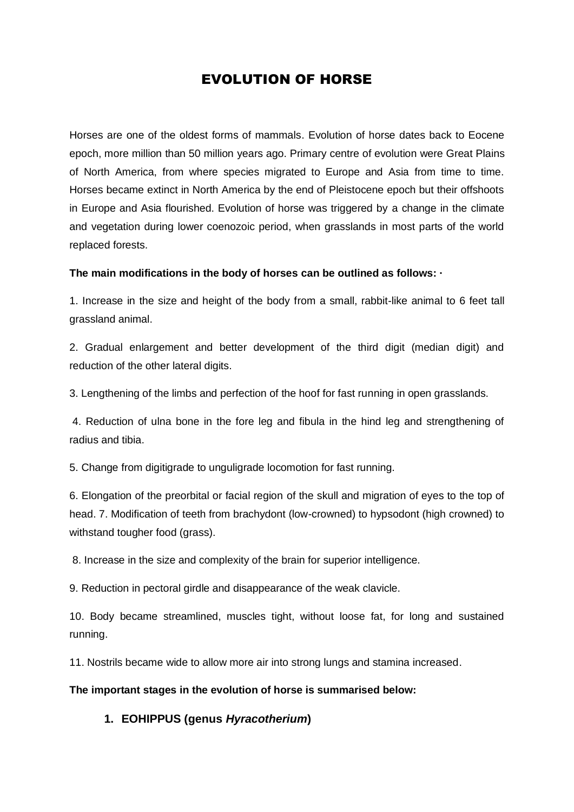# EVOLUTION OF HORSE

Horses are one of the oldest forms of mammals. Evolution of horse dates back to Eocene epoch, more million than 50 million years ago. Primary centre of evolution were Great Plains of North America, from where species migrated to Europe and Asia from time to time. Horses became extinct in North America by the end of Pleistocene epoch but their offshoots in Europe and Asia flourished. Evolution of horse was triggered by a change in the climate and vegetation during lower coenozoic period, when grasslands in most parts of the world replaced forests.

## **The main modifications in the body of horses can be outlined as follows: ·**

1. Increase in the size and height of the body from a small, rabbit-like animal to 6 feet tall grassland animal.

2. Gradual enlargement and better development of the third digit (median digit) and reduction of the other lateral digits.

3. Lengthening of the limbs and perfection of the hoof for fast running in open grasslands.

4. Reduction of ulna bone in the fore leg and fibula in the hind leg and strengthening of radius and tibia.

5. Change from digitigrade to unguligrade locomotion for fast running.

6. Elongation of the preorbital or facial region of the skull and migration of eyes to the top of head. 7. Modification of teeth from brachydont (low-crowned) to hypsodont (high crowned) to withstand tougher food (grass).

8. Increase in the size and complexity of the brain for superior intelligence.

9. Reduction in pectoral girdle and disappearance of the weak clavicle.

10. Body became streamlined, muscles tight, without loose fat, for long and sustained running.

11. Nostrils became wide to allow more air into strong lungs and stamina increased.

### **The important stages in the evolution of horse is summarised below:**

# **1. EOHIPPUS (genus** *Hyracotherium***)**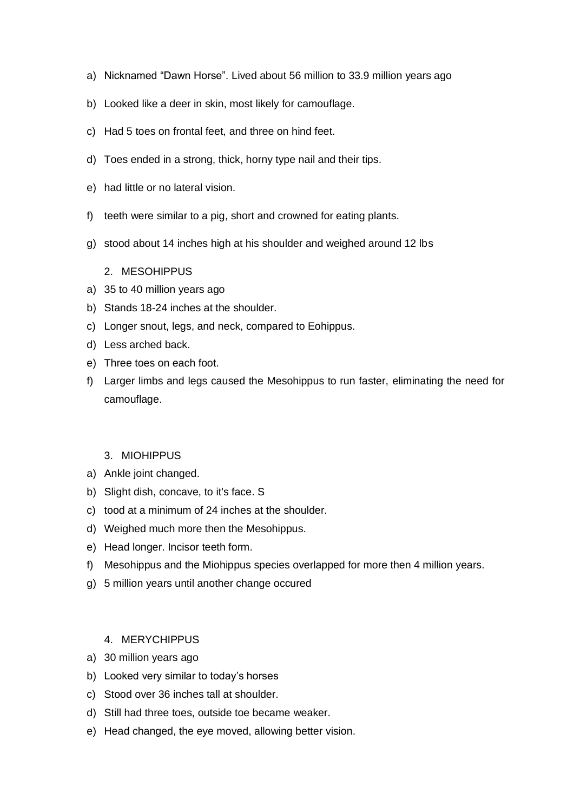- a) Nicknamed "Dawn Horse". Lived about 56 million to 33.9 million years ago
- b) Looked like a deer in skin, most likely for camouflage.
- c) Had 5 toes on frontal feet, and three on hind feet.
- d) Toes ended in a strong, thick, horny type nail and their tips.
- e) had little or no lateral vision.
- f) teeth were similar to a pig, short and crowned for eating plants.
- g) stood about 14 inches high at his shoulder and weighed around 12 lbs

## 2. MESOHIPPUS

- a) 35 to 40 million years ago
- b) Stands 18-24 inches at the shoulder.
- c) Longer snout, legs, and neck, compared to Eohippus.
- d) Less arched back.
- e) Three toes on each foot.
- f) Larger limbs and legs caused the Mesohippus to run faster, eliminating the need for camouflage.

### 3. MIOHIPPUS

- a) Ankle joint changed.
- b) Slight dish, concave, to it's face. S
- c) tood at a minimum of 24 inches at the shoulder.
- d) Weighed much more then the Mesohippus.
- e) Head longer. Incisor teeth form.
- f) Mesohippus and the Miohippus species overlapped for more then 4 million years.
- g) 5 million years until another change occured

# 4. MERYCHIPPUS

- a) 30 million years ago
- b) Looked very similar to today's horses
- c) Stood over 36 inches tall at shoulder.
- d) Still had three toes, outside toe became weaker.
- e) Head changed, the eye moved, allowing better vision.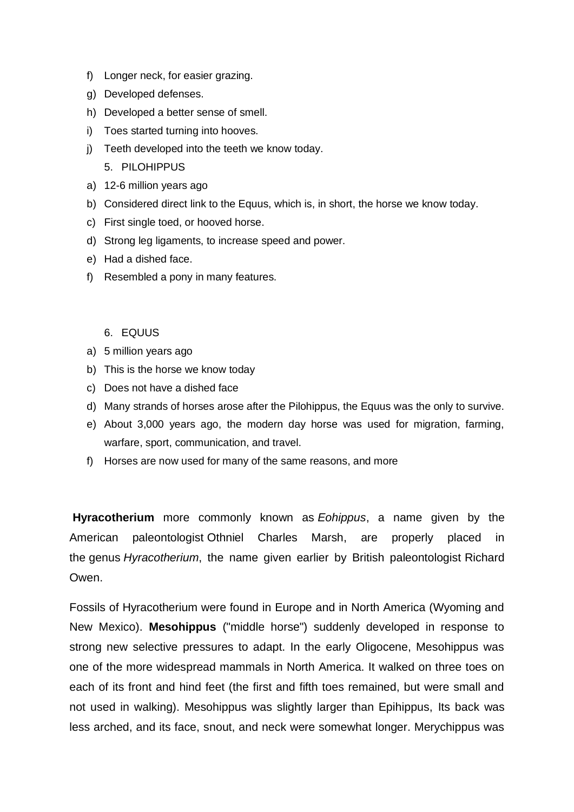- f) Longer neck, for easier grazing.
- g) Developed defenses.
- h) Developed a better sense of smell.
- i) Toes started turning into hooves.
- j) Teeth developed into the teeth we know today. 5. PILOHIPPUS
- a) 12-6 million years ago
- b) Considered direct link to the Equus, which is, in short, the horse we know today.
- c) First single toed, or hooved horse.
- d) Strong leg ligaments, to increase speed and power.
- e) Had a dished face.
- f) Resembled a pony in many features.

### 6. EQUUS

- a) 5 million years ago
- b) This is the horse we know today
- c) Does not have a dished face
- d) Many strands of horses arose after the Pilohippus, the Equus was the only to survive.
- e) About 3,000 years ago, the modern day horse was used for migration, farming, warfare, sport, communication, and travel.
- f) Horses are now used for many of the same reasons, and more

**Hyracotherium** more commonly known as *Eohippus*, a name given by the American paleontologist [Othniel Charles Marsh,](https://www.britannica.com/biography/Othniel-Charles-Marsh) are properly placed in the [genus](https://www.britannica.com/science/genus-taxon) *Hyracotherium*, the name given earlier by British paleontologist [Richard](https://www.britannica.com/biography/Richard-Owen)  **Owen** 

Fossils of Hyracotherium were found in Europe and in North America (Wyoming and New Mexico). **Mesohippus** ("middle horse") suddenly developed in response to strong new selective pressures to adapt. In the early Oligocene, Mesohippus was one of the more widespread mammals in North America. It walked on three toes on each of its front and hind feet (the first and fifth toes remained, but were small and not used in walking). Mesohippus was slightly larger than Epihippus, Its back was less arched, and its face, snout, and neck were somewhat longer. Merychippus was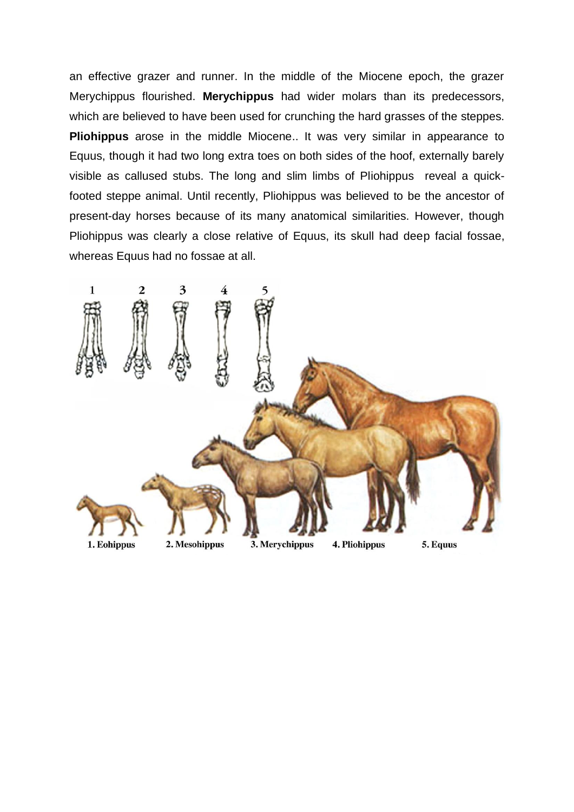an effective grazer and runner. In the middle of the Miocene epoch, the grazer Merychippus flourished. **Merychippus** had wider molars than its predecessors, which are believed to have been used for crunching the hard grasses of the steppes. **Pliohippus** arose in the middle Miocene.. It was very similar in appearance to Equus, though it had two long extra toes on both sides of the hoof, externally barely visible as callused stubs. The long and slim limbs of Pliohippus reveal a quickfooted steppe animal. Until recently, Pliohippus was believed to be the ancestor of present-day horses because of its many anatomical similarities. However, though Pliohippus was clearly a close relative of Equus, its skull had deep facial fossae, whereas Equus had no fossae at all.